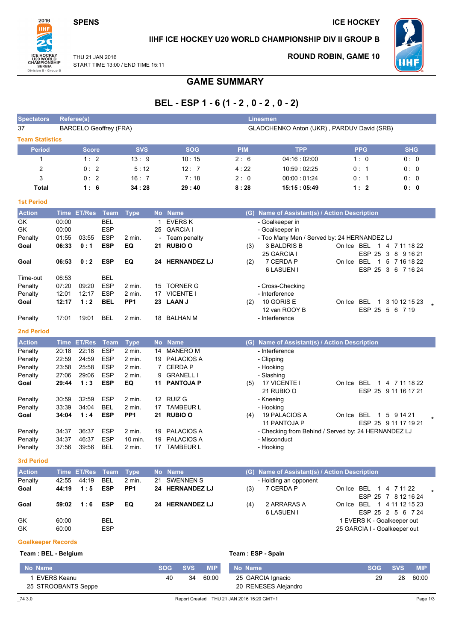**SPENS** 

**ICE HOCKEY** 



## IIHF ICE HOCKEY U20 WORLD CHAMPIONSHIP DIV II GROUP B

THU 21 JAN 2016 START TIME 13:00 / END TIME 15:11 **ROUND ROBIN, GAME 10** 



## **GAME SUMMARY**

# BEL - ESP 1 - 6 (1 - 2, 0 - 2, 0 - 2)

| <b>Spectators</b>         | Referee(s)<br><b>Linesmen</b>                                               |                |                          |                      |           |                                 |                   |                                                     |                              |                                     |  |
|---------------------------|-----------------------------------------------------------------------------|----------------|--------------------------|----------------------|-----------|---------------------------------|-------------------|-----------------------------------------------------|------------------------------|-------------------------------------|--|
| 37                        | <b>BARCELO Geoffrey (FRA)</b><br>GLADCHENKO Anton (UKR), PARDUV David (SRB) |                |                          |                      |           |                                 |                   |                                                     |                              |                                     |  |
| <b>Team Statistics</b>    |                                                                             |                |                          |                      |           |                                 |                   |                                                     |                              |                                     |  |
| <b>Period</b>             |                                                                             | <b>Score</b>   |                          | <b>SVS</b>           |           | <b>SOG</b>                      | <b>PIM</b>        | <b>TPP</b>                                          | <b>PPG</b>                   | <b>SHG</b>                          |  |
| $\mathbf{1}$              |                                                                             | 1:2            |                          | 13:9                 |           | 10:15                           | 2:6               | 04:16:02:00                                         | 1:0                          | 0:0                                 |  |
| $\overline{2}$            |                                                                             | 0:2            |                          | 5:12                 |           | 12:7                            | 4:22              | 10:59:02:25                                         | 0:1                          | 0: 0                                |  |
| 3                         |                                                                             | 0:2            |                          | 16:7                 |           | 7:18                            | 2:0               | 00:00:01:24                                         | 0:1                          | 0: 0                                |  |
| <b>Total</b>              |                                                                             | 1:6            |                          | 34:28                |           | 29:40                           | 8:28              | 15:15 : 05:49                                       | 1:2                          | 0:0                                 |  |
| <b>1st Period</b>         |                                                                             |                |                          |                      |           |                                 |                   |                                                     |                              |                                     |  |
| <b>Action</b>             |                                                                             | Time ET/Res    | Team                     | <b>Type</b>          |           | No Name                         |                   | (G) Name of Assistant(s) / Action Description       |                              |                                     |  |
| GK                        | 00:00                                                                       |                | <b>BEL</b>               |                      | 1         | <b>EVERS K</b>                  |                   | - Goalkeeper in                                     |                              |                                     |  |
| GK                        | 00:00                                                                       |                | <b>ESP</b>               |                      | 25        | <b>GARCIA I</b>                 |                   | - Goalkeeper in                                     |                              |                                     |  |
| Penalty                   | 01:55                                                                       | 03:55          | <b>ESP</b>               | 2 min.               |           | Team penalty                    |                   | - Too Many Men / Served by: 24 HERNANDEZ LJ         |                              |                                     |  |
| Goal                      | 06:33                                                                       | 0:1            | <b>ESP</b>               | EQ                   | 21        | <b>RUBIO O</b>                  | (3)               | 3 BALDRIS B                                         | On Ice BEL 1 4 7 11 18 22    |                                     |  |
|                           |                                                                             |                |                          |                      |           |                                 |                   | 25 GARCIA I                                         |                              | ESP 25 3 8 9 16 21                  |  |
| Goal                      | 06:53                                                                       | 0:2            | <b>ESP</b>               | EQ                   |           | 24 HERNANDEZ LJ                 | (2)               | 7 CERDA P                                           | On Ice BEL 1 5 7 16 18 22    |                                     |  |
|                           |                                                                             |                |                          |                      |           |                                 |                   | 6 LASUEN I                                          |                              | ESP 25 3 6 7 16 24                  |  |
| Time-out                  | 06:53                                                                       |                | BEL                      |                      |           |                                 |                   |                                                     |                              |                                     |  |
| Penalty<br>Penalty        | 07:20<br>12:01                                                              | 09:20<br>12:17 | <b>ESP</b><br><b>ESP</b> | $2$ min.<br>$2$ min. | 15        | <b>TORNER G</b><br>17 VICENTE I |                   | - Cross-Checking<br>- Interference                  |                              |                                     |  |
| Goal                      | 12:17                                                                       | 1:2            | <b>BEL</b>               | PP <sub>1</sub>      |           | 23 LAAN J                       | (2)               | 10 GORIS E                                          | On Ice BEL                   | 1 3 10 12 15 23                     |  |
|                           |                                                                             |                |                          |                      |           |                                 |                   | 12 van ROOY B                                       | ESP 25 5 6 7 19              |                                     |  |
| Penalty                   | 17:01                                                                       | 19:01          | BEL                      | 2 min.               | 18        | BALHAN M                        |                   | - Interference                                      |                              |                                     |  |
| <b>2nd Period</b>         |                                                                             |                |                          |                      |           |                                 |                   |                                                     |                              |                                     |  |
| <b>Action</b>             |                                                                             | Time ET/Res    | <b>Team</b>              | <b>Type</b>          | <b>No</b> | <b>Name</b>                     |                   | (G) Name of Assistant(s) / Action Description       |                              |                                     |  |
| Penalty                   | 20:18                                                                       | 22:18          | <b>ESP</b>               | 2 min.               | 14        | <b>MANERO M</b>                 |                   | - Interference                                      |                              |                                     |  |
| Penalty                   | 22:59                                                                       | 24:59          | <b>ESP</b>               | 2 min.               | 19        | <b>PALACIOS A</b>               |                   | - Clipping                                          |                              |                                     |  |
| Penalty                   | 23:58                                                                       | 25:58          | <b>ESP</b>               | $2$ min.             |           | 7 CERDA P                       |                   | - Hooking                                           |                              |                                     |  |
| Penalty                   | 27:06                                                                       | 29:06          | <b>ESP</b>               | 2 min.               | 9         | <b>GRANELL I</b>                |                   | - Slashing                                          |                              |                                     |  |
| Goal                      | 29:44                                                                       | 1:3            | <b>ESP</b>               | EQ                   | 11        | <b>PANTOJA P</b>                | (5)               | 17 VICENTE I                                        | On Ice BEL                   | 1 4 7 11 18 22                      |  |
|                           |                                                                             |                |                          |                      |           |                                 |                   | 21 RUBIO O                                          |                              | ESP 25 9 11 16 17 21                |  |
| Penalty                   | 30:59                                                                       | 32:59          | <b>ESP</b>               | $2$ min.             |           | 12 RUIZ G                       |                   | - Kneeing                                           |                              |                                     |  |
| Penalty                   | 33:39                                                                       | 34:04          | <b>BEL</b>               | 2 min.               |           | 17 TAMBEUR L                    |                   | - Hooking                                           |                              |                                     |  |
| Goal                      | 34:04                                                                       | 1:4            | <b>ESP</b>               | PP <sub>1</sub>      | 21        | <b>RUBIO O</b>                  | (4)               | 19 PALACIOS A<br>11 PANTOJA P                       | On Ice BEL                   | 1 5 9 14 21<br>ESP 25 9 11 17 19 21 |  |
| Penalty                   | 34:37                                                                       | 36:37          | <b>ESP</b>               | $2$ min.             | 19        | <b>PALACIOS A</b>               |                   | - Checking from Behind / Served by: 24 HERNANDEZ LJ |                              |                                     |  |
| Penalty                   | 34:37                                                                       | 46:37          | <b>ESP</b>               | 10 min.              | 19        | <b>PALACIOS A</b>               |                   | - Misconduct                                        |                              |                                     |  |
| Penalty                   | 37:56                                                                       | 39:56          | <b>BEL</b>               | 2 min.               |           | 17 TAMBEUR L                    |                   | - Hooking                                           |                              |                                     |  |
| <b>3rd Period</b>         |                                                                             |                |                          |                      |           |                                 |                   |                                                     |                              |                                     |  |
| <b>Action</b>             |                                                                             | Time ET/Res    | Team                     | <b>Type</b>          |           | No Name                         |                   | (G) Name of Assistant(s) / Action Description       |                              |                                     |  |
| Penalty                   | 42:55                                                                       | 44:19          | <b>BEL</b>               | 2 min.               | 21        | <b>SWENNEN S</b>                |                   | - Holding an opponent                               |                              |                                     |  |
| Goal                      | 44:19                                                                       | 1:5            | <b>ESP</b>               | PP <sub>1</sub>      |           | 24 HERNANDEZ LJ                 | (3)               | 7 CERDA P                                           | On Ice BEL                   | 1 4 7 11 22                         |  |
|                           |                                                                             |                |                          |                      |           |                                 |                   |                                                     |                              | ESP 25 7 8 12 16 24                 |  |
| Goal                      | 59:02                                                                       | 1:6            | <b>ESP</b>               | EQ                   |           | 24 HERNANDEZ LJ                 | (4)               | 2 ARRARAS A                                         | On Ice BEL 1 4 11 12 15 23   |                                     |  |
|                           |                                                                             |                |                          |                      |           |                                 |                   | 6 LASUEN I                                          |                              | ESP 25 2 5 6 7 24                   |  |
| GK                        | 60:00                                                                       |                | BEL                      |                      |           |                                 |                   |                                                     | 1 EVERS K - Goalkeeper out   |                                     |  |
| GK                        | 60:00                                                                       |                | <b>ESP</b>               |                      |           |                                 |                   |                                                     | 25 GARCIA I - Goalkeeper out |                                     |  |
| <b>Goalkeeper Records</b> |                                                                             |                |                          |                      |           |                                 |                   |                                                     |                              |                                     |  |
| Team: BEL - Belgium       |                                                                             |                |                          |                      |           |                                 | Team: ESP - Spain |                                                     |                              |                                     |  |
|                           |                                                                             |                |                          |                      |           |                                 |                   |                                                     |                              |                                     |  |

#### No Name **SOG SVS MIP** No Name **SOG SVS MIP** 60:00 1 EVERS Keanu 40  $34$ 60:00 25 GARCIA Ignacio 29 28 25 STROOBANTS Seppe 20 RENESES Alejandro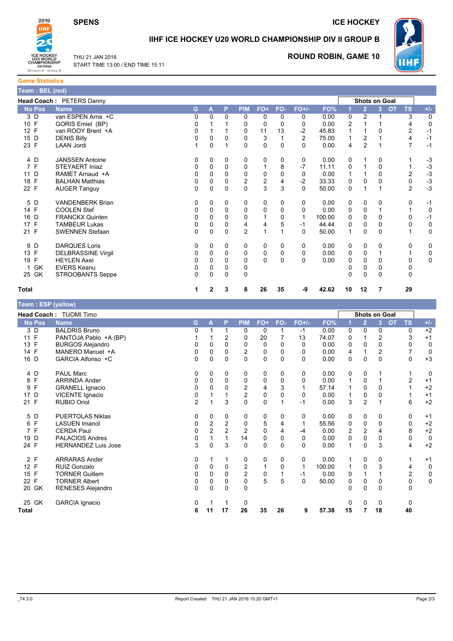

#### **ICE HOCKEY**



# IIHF ICE HOCKEY U20 WORLD CHAMPIONSHIP DIV II GROUP B



## **ROUND ROBIN, GAME 10**



**Game Statistics** k

| ream : BEL (red) |                           |    |              |              |                |                         |          |                |        |                |                      |   |                        |                        |
|------------------|---------------------------|----|--------------|--------------|----------------|-------------------------|----------|----------------|--------|----------------|----------------------|---|------------------------|------------------------|
|                  | Head Coach: PETERS Danny  |    |              |              |                |                         |          |                |        |                | <b>Shots on Goal</b> |   |                        |                        |
| <b>No Pos</b>    | <b>Name</b>               | G. | A            | P            | <b>PIM</b>     | $FO+$                   | FO-      | $FO+/-$        | FO%    |                | $\overline{2}$       | 3 | <b>OT</b><br><b>TS</b> | $+/-$                  |
| 3 D              | van ESPEN Arne +C         | 0  | 0            | 0            | 0              | 0                       | 0        | 0              | 0.00   | 0              | $\overline{2}$       |   |                        | 3<br>0                 |
| 10 F             | GORIS Emiel (BP)          | 0  |              |              | 0              | $\Omega$                | $\Omega$ | $\Omega$       | 0.00   | $\overline{2}$ |                      |   |                        | $\mathbf 0$<br>4       |
| 12 F             | van ROOY Brent +A         | 0  |              |              | 0              | 11                      | 13       | $-2$           | 45.83  |                |                      | 0 |                        | $\overline{c}$<br>$-1$ |
| 15 D             | <b>DENIS Billy</b>        | 0  | 0            | 0            | 0              | 3                       |          | $\overline{2}$ | 75.00  |                | 2                    |   |                        | $-1$<br>4              |
| 23 F             | <b>LAAN Jordi</b>         |    | $\Omega$     |              | $\Omega$       | $\mathbf 0$             | $\Omega$ | $\Omega$       | 0.00   | 4              | $\overline{2}$       |   |                        | 7<br>$-1$              |
| 4 D              | <b>JANSSEN Antoine</b>    | 0  | 0            | 0            | 0              | 0                       | 0        | 0              | 0.00   | 0              |                      | 0 |                        | $-3$                   |
| 7 F              | <b>STEYAERT Injaz</b>     | 0  | $\Omega$     | 0            | 0              |                         | 8        | $-7$           | 11.11  | 0              |                      | 0 |                        | $-3$                   |
| 11 D             | RAMET Arnaud +A           | 0  | 0            | 0            | $\Omega$       | 0                       | 0        | $\Omega$       | 0.00   |                |                      | 0 |                        | $-3$<br>2              |
| F<br>18          | <b>BALHAN Matthias</b>    | 0  | 0            | 0            | $\overline{c}$ | $\overline{\mathbf{c}}$ | 4        | $-2$           | 33.33  | 0              | 0                    | 0 |                        | $-3$<br>0              |
| 22 F             | <b>AUGER Tanguy</b>       | 0  | $\Omega$     | $\Omega$     | $\Omega$       | 3                       | 3        | $\Omega$       | 50.00  | $\Omega$       |                      |   |                        | $-3$<br>$\overline{2}$ |
| 5 D              | <b>VANDENBERK Brian</b>   | 0  | 0            | $\mathbf{0}$ | 0              | 0                       | 0        | $\Omega$       | 0.00   | 0              | $\Omega$             | 0 |                        | $-1$<br>0              |
| 14 F             | <b>COOLEN Stef</b>        | 0  | 0            | 0            | 0              | 0                       | 0        | $\Omega$       | 0.00   | 0              | 0                    |   |                        | 0                      |
| 16 D             | <b>FRANCKX Quinten</b>    | 0  | 0            | 0            | 0              |                         | 0        |                | 100.00 | 0              | 0                    | 0 |                        | $-1$<br>0              |
| 17 F             | <b>TAMBEUR Lukas</b>      | 0  | $\Omega$     | 0            | 4              | 4                       | 5        | -1             | 44.44  | 0              | 0                    | 0 |                        | 0<br>0                 |
| 21 F             | <b>SWENNEN Stefaan</b>    | 0  | $\Omega$     | 0            | 2              |                         | 1        | $\mathbf{0}$   | 50.00  | 1              | $\Omega$             | 0 |                        | 0                      |
| 9 D              | <b>DARQUES Loris</b>      | 0  | $\Omega$     | $\mathbf{0}$ | 0              | 0                       | 0        | 0              | 0.00   | 0              | 0                    | 0 |                        | 0<br>0                 |
| 13<br>F          | <b>DELBRASSINE Virgil</b> | 0  | 0            | 0            | 0              | 0                       | 0        | $\Omega$       | 0.00   | 0              | $\Omega$             |   |                        | 0                      |
| F<br>19          | <b>HEYLEN Axel</b>        | 0  | 0            | 0            | 0              | $\mathbf{0}$            | 0        | $\Omega$       | 0.00   | 0              | 0                    | 0 |                        | 0<br>0                 |
| GK<br>1          | <b>EVERS Keanu</b>        | 0  | $\Omega$     | 0            | 0              |                         |          |                |        |                | $\Omega$             | 0 |                        | 0                      |
| 25 GK            | STROOBANTS Seppe          | 0  | $\Omega$     | 0            | 0              |                         |          |                |        | 0              | $\mathbf{0}$         | 0 |                        | 0                      |
| <b>Total</b>     |                           | 1  | $\mathbf{2}$ | 3            | 8              | 26                      | 35       | -9             | 42.62  | 10             | 12                   | 7 | 29                     |                        |

| Team: ESP (yellow) |                               |                |                |                |                         |             |              |             |        |              |                |               |                        |             |
|--------------------|-------------------------------|----------------|----------------|----------------|-------------------------|-------------|--------------|-------------|--------|--------------|----------------|---------------|------------------------|-------------|
|                    | <b>Head Coach: TUOMI Timo</b> |                |                |                |                         |             |              |             |        |              |                | Shots on Goal |                        |             |
| <b>No Pos</b>      | <b>Name</b>                   | G              | A              | P              | <b>PIM</b>              | FO+         | FO-          | $FO+/-$     | FO%    |              | $\overline{2}$ | 3             | <b>OT</b><br><b>TS</b> | $+/-$       |
| 3 D                | <b>BALDRIS Bruno</b>          | 0              |                |                | 0                       | 0           | 1            | $-1$        | 0.00   | 0            | $\Omega$       | 0             | 0                      | $+2$        |
| $\mathsf{F}$<br>11 | PANTOJA Pablo +A (BP)         |                |                | 2              | 0                       | 20          | 7            | 13          | 74.07  | 0            |                | 2             | 3                      | $+1$        |
| 13 F               | <b>BURGOS Alejandro</b>       | 0              | 0              | 0              | 0                       | 0           | 0            | 0           | 0.00   | 0            | $\Omega$       | $\Omega$      | 0                      | $\mathbf 0$ |
| 14 F               | MANERO Manuel +A              | 0              | 0              | 0              | 2                       | 0           | 0            | $\Omega$    | 0.00   | 4            |                | 2             | 7                      | $\mathbf 0$ |
| 16 D               | GARCIA Alfonso +C             | 0              | $\mathbf 0$    | 0              | 0                       | $\mathbf 0$ | 0            | $\Omega$    | 0.00   | 0            | $\mathbf 0$    | $\mathbf 0$   | 0                      | $+3$        |
| 4 D                | <b>PAUL Marc</b>              | 0              | 0              | 0              | 0                       | 0           | 0            | 0           | 0.00   | 0            | 0              |               |                        | 0           |
| 8 F                | <b>ARRINDA Ander</b>          | 0              | 0              | $\mathbf 0$    | 0                       | 0           | 0            | 0           | 0.00   | 1            | 0              |               | 2                      | $+1$        |
| F<br>9             | <b>GRANELL Ignacio</b>        | 0              | $\Omega$       | 0              | 2                       | 4           | 3            | 1           | 57.14  | 1            | 0              | 0             |                        | $+2$        |
| D<br>17            | VICENTE Ignacio               | 0              |                |                | $\overline{\mathbf{c}}$ | 0           | 0            | $\mathbf 0$ | 0.00   | $\mathbf{1}$ | 0              | 0             |                        | $+1$        |
| 21 F               | <b>RUBIO Oriol</b>            | $\overline{2}$ |                | 3              | 0                       | 0           | 1            | $-1$        | 0.00   | 3            | $\overline{2}$ |               | 6                      | $+2$        |
| 5 D                | <b>PUERTOLAS Niklas</b>       | 0              | 0              | 0              | 0                       | 0           | 0            | 0           | 0.00   | 0            | 0              | 0             | 0                      | $+1$        |
| 6 F                | <b>LASUEN Imanol</b>          | 0              | $\overline{2}$ | $\overline{c}$ | 0                       | 5           | 4            |             | 55.56  | 0            | 0              | $\Omega$      | 0                      | $+2$        |
| 7 F                | <b>CERDA Paul</b>             | 0              | $\overline{2}$ | $\overline{c}$ | $\overline{c}$          | $\pmb{0}$   | 4            | -4          | 0.00   | 2            | 2              | 4             | 8                      | $+2$        |
| 19 D               | <b>PALACIOS Andres</b>        | 0              |                | 1              | 14                      | 0           | 0            | 0           | 0.00   | 0            | 0              | 0             | 0                      | $\mathbf 0$ |
| 24 F               | <b>HERNANDEZ Luis Jose</b>    | 3              | $\mathbf 0$    | 3              | 0                       | $\mathbf 0$ | $\mathbf{0}$ | $\Omega$    | 0.00   | 1            | $\Omega$       | 3             | 4                      | $+2$        |
| 2 F                | <b>ARRARAS Ander</b>          | 0              |                | 1              | 0                       | 0           | 0            | 0           | 0.00   | 1            | 0              | 0             |                        | $+1$        |
| 12 F               | RUIZ Gonzalo                  | 0              | 0              | $\mathbf 0$    | 2                       | 1           | 0            | 1           | 100.00 | 1            | 0              | 3             | 4                      | 0           |
| 15 F               | <b>TORNER Guillem</b>         | 0              | 0              | $\Omega$       | $\overline{\mathbf{c}}$ | 0           |              | $-1$        | 0.00   | 0            |                |               | 2                      | $\pmb{0}$   |
| 22 F               | <b>TORNER Albert</b>          | 0              | 0              | 0              | 0                       | 5           | 5            | $\Omega$    | 50.00  | 0            | 0              | 0             | 0                      | 0           |
| 20 GK              | RENESES Alejandro             | 0              | $\Omega$       | $\mathbf 0$    | 0                       |             |              |             |        | 0            | $\Omega$       | $\Omega$      | $\Omega$               |             |
| 25 GK              | <b>GARCIA Ignacio</b>         | 0              |                | 1              | 0                       |             |              |             |        | 0            | 0              | 0             | 0                      |             |
| Total              |                               | 6              | 11             | 17             | 26                      | 35          | 26           | 9           | 57.38  | 15           |                | 18            | 40                     |             |